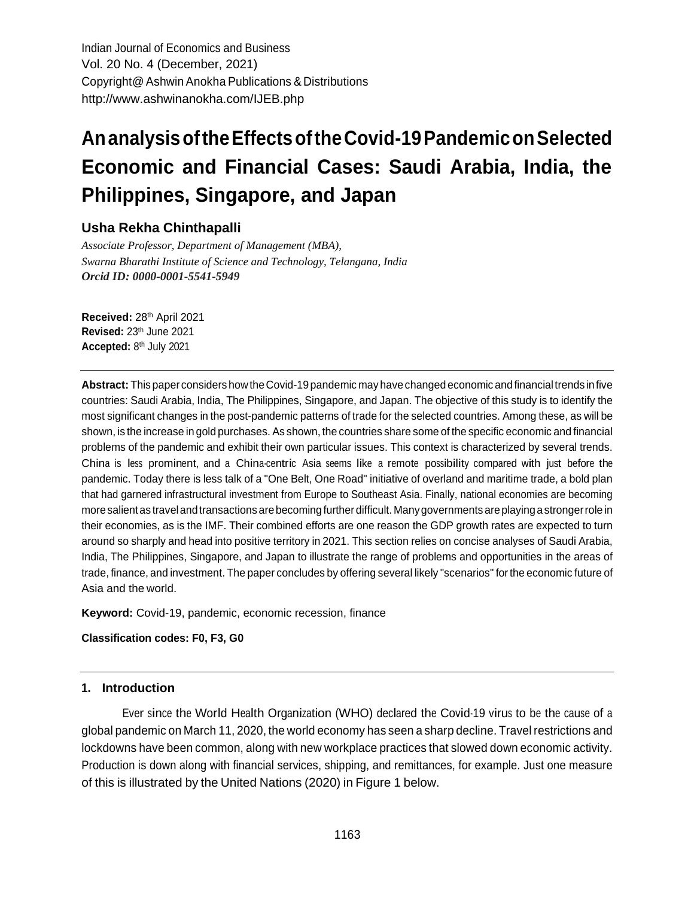Indian Journal of Economics and Business Vol. 20 No. 4 (December, 2021) Copyright@Ashwin Anokha Publications & Distributions <http://www.ashwinanokha.com/IJEB.php>

# **AnanalysisoftheEffectsoftheCovid-19PandemiconSelected Economic and Financial Cases: Saudi Arabia, India, the Philippines, Singapore, and Japan**

# **Usha Rekha Chinthapalli**

*Associate Professor, Department of Management (MBA), Swarna Bharathi Institute of Science and Technology, Telangana, India Orcid ID: 0000-0001-5541-5949*

**Received:** 28 th April 2021 **Revised:** 23th June 2021 **Accepted:** 8 th July 2021

**Abstract:** Thispaper considers howtheCovid-19pandemic may havechanged economic andfinancialtrends infive countries: Saudi Arabia, India, The Philippines, Singapore, and Japan. The objective of this study is to identify the most significant changes in the post-pandemic patterns of trade for the selected countries. Among these, as will be shown, is the increase in gold purchases. As shown, the countries share some of the specific economic and financial problems of the pandemic and exhibit their own particular issues. This context is characterized by several trends. China is less prominent, and <sup>a</sup> China-centric Asia seems like <sup>a</sup> remote possibility compared with just before the pandemic. Today there is less talk of a "One Belt, One Road" initiative of overland and maritime trade, a bold plan that had garnered infrastructural investment from Europe to Southeast Asia. Finally, national economies are becoming moresalientas travelandtransactions arebecomingfurther difficult. Manygovernments areplaying astrongerrole in their economies, as is the IMF. Their combined efforts are one reason the GDP growth rates are expected to turn around so sharply and head into positive territory in 2021. This section relies on concise analyses of Saudi Arabia, India, The Philippines, Singapore, and Japan to illustrate the range of problems and opportunities in the areas of trade, finance, and investment. The paper concludes by offering several likely "scenarios" forthe economic future of Asia and the world.

**Keyword:** Covid-19, pandemic, economic recession, finance

**Classification codes: F0, F3, G0**

### **1. Introduction**

Ever since the World Health Organization (WHO) declared the Covid-19 virus to be the cause of <sup>a</sup> global pandemic on March 11, 2020, the world economy has seen a sharp decline. Travel restrictions and lockdowns have been common, along with new workplace practices that slowed down economic activity. Production is down along with financial services, shipping, and remittances, for example. Just one measure of this is illustrated by the United Nations (2020) in Figure 1 below.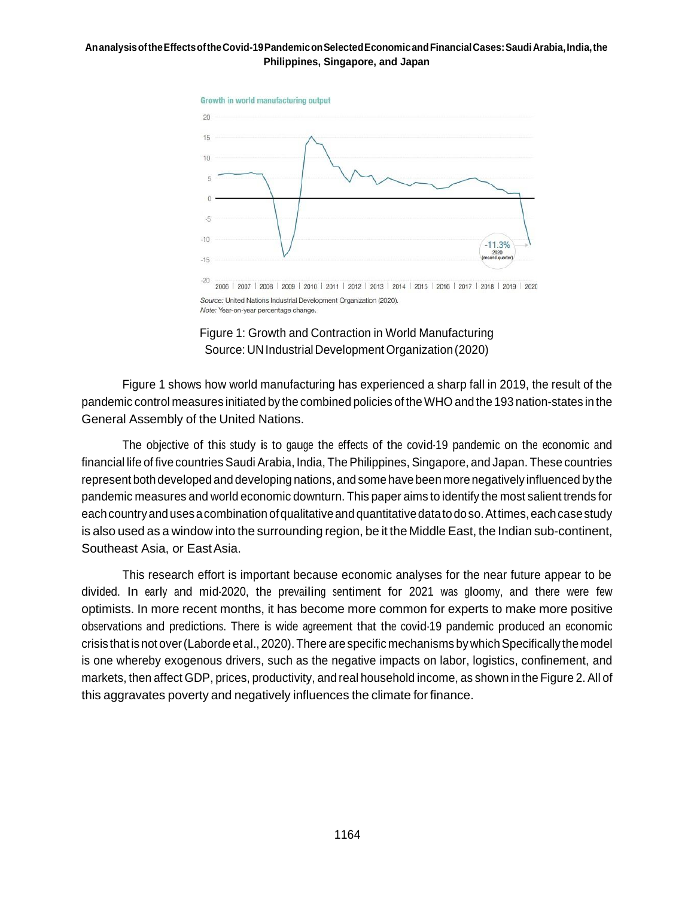

Figure 1: Growth and Contraction in World Manufacturing Source: UN Industrial Development Organization (2020)

Figure 1 shows how world manufacturing has experienced a sharp fall in 2019, the result of the pandemic control measures initiated by the combined policies of the WHO and the 193 nation-states in the General Assembly of the United Nations.

The objective of this study is to gauge the effects of the covid-19 pandemic on the economic and financial life of five countries Saudi Arabia, India, The Philippines, Singapore, and Japan. These countries represent both developed and developing nations, and some havebeen more negatively influenced by the pandemic measures and world economic downturn. This paper aims to identify the most salient trends for each country and uses a combination of qualitative and quantitative datato doso. At times, each case study is also used as a window into the surrounding region, be it the Middle East, the Indian sub-continent, Southeast Asia, or EastAsia.

This research effort is important because economic analyses for the near future appear to be divided. In early and mid-2020, the prevailing sentiment for 2021 was gloomy, and there were few optimists. In more recent months, it has become more common for experts to make more positive observations and predictions. There is wide agreement that the covid-19 pandemic produced an economic crisis that is not over (Laborde et al., 2020). There are specific mechanisms by which Specifically the model is one whereby exogenous drivers, such as the negative impacts on labor, logistics, confinement, and markets, then affect GDP, prices, productivity, and real household income, as shown in the Figure 2. All of this aggravates poverty and negatively influences the climate for finance.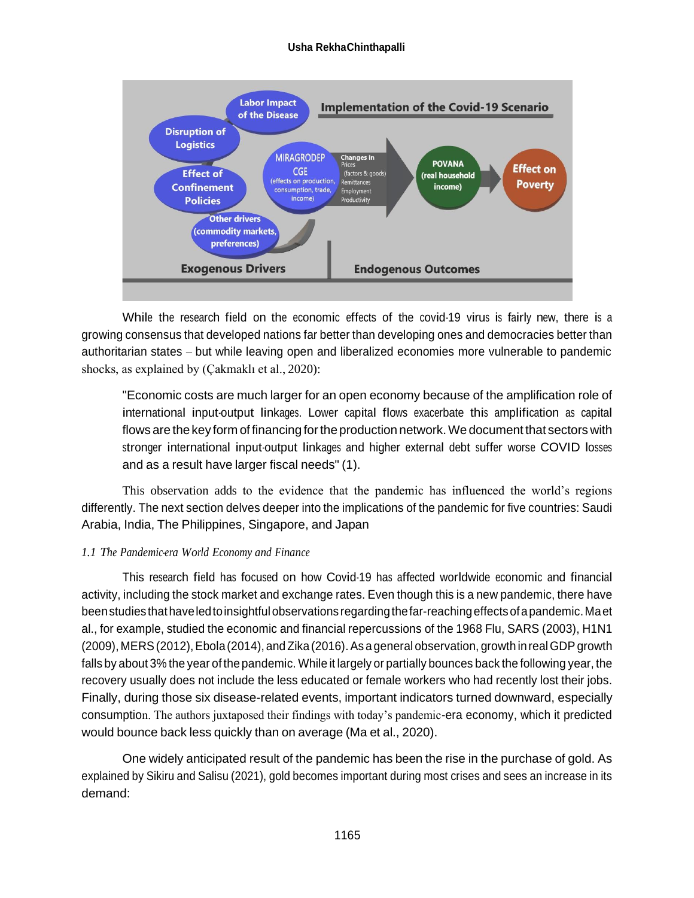### **Usha RekhaChinthapalli**



While the research field on the economic effects of the covid-19 virus is fairly new, there is <sup>a</sup> growing consensus that developed nations far better than developing ones and democracies better than authoritarian states – but while leaving open and liberalized economies more vulnerable to pandemic shocks, as explained by (Çakmaklı et al., 2020):

"Economic costs are much larger for an open economy because of the amplification role of international input-output linkages. Lower capital flows exacerbate this amplification as capital flows are the key form of financing for the production network. We document that sectors with stronger international input-output linkages and higher external debt suffer worse COVID losses and as a result have larger fiscal needs" (1).

This observation adds to the evidence that the pandemic has influenced the world's regions differently. The next section delves deeper into the implications of the pandemic for five countries: Saudi Arabia, India, The Philippines, Singapore, and Japan

### *1.1 The Pandemic-era World Economy and Finance*

This research field has focused on how Covid-19 has affected worldwide economic and financial activity, including the stock market and exchange rates. Even though this is a new pandemic, there have beenstudies thathaveledtoinsightfulobservations regardingthefar-reachingeffectsofapandemic.Maet al., for example, studied the economic and financial repercussions of the 1968 Flu, SARS (2003), H1N1 (2009), MERS(2012),Ebola(2014), andZika(2016).As ageneral observation, growth inrealGDPgrowth falls by about 3% the year of the pandemic. While it largely or partially bounces back the following year, the recovery usually does not include the less educated or female workers who had recently lost their jobs. Finally, during those six disease-related events, important indicators turned downward, especially consumption. The authors juxtaposed their findings with today's pandemic-era economy, which it predicted would bounce back less quickly than on average (Ma et al., 2020).

One widely anticipated result of the pandemic has been the rise in the purchase of gold. As explained by Sikiru and Salisu (2021), gold becomes important during most crises and sees an increase in its demand: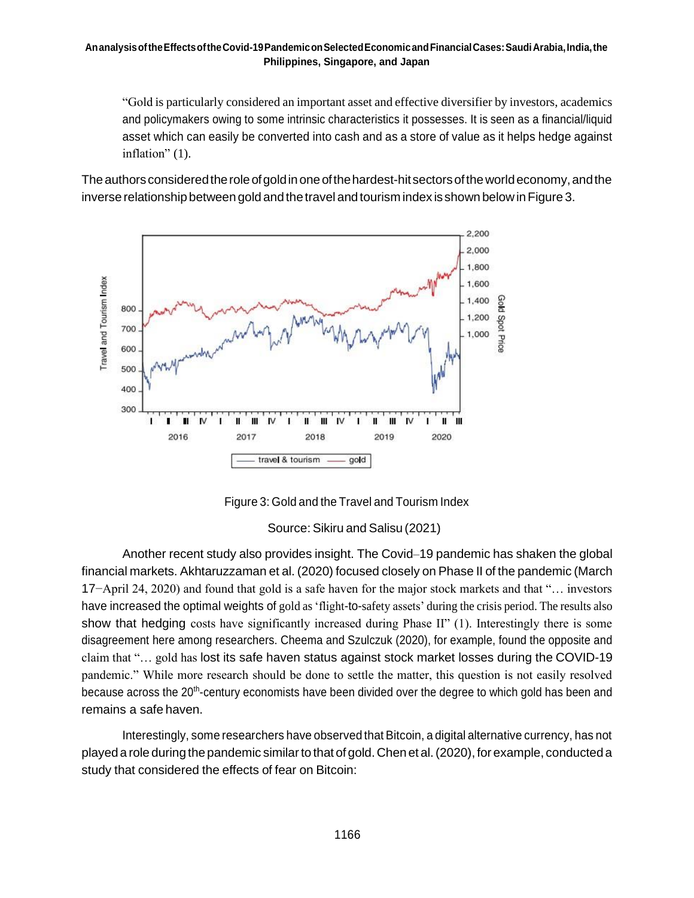"Gold is particularly considered an important asset and effective diversifier by investors, academics and policymakers owing to some intrinsic characteristics it possesses. It is seen as a financial/liquid asset which can easily be converted into cash and as a store of value as it helps hedge against inflation" (1).

The authors considered the role of gold in one of the hardest-hit sectors of the world economy, and the inverse relationship between gold and the travel and tourism index is shown below in Figure 3.





Source: Sikiru and Salisu (2021)

Another recent study also provides insight. The Covid–19 pandemic has shaken the global financial markets. Akhtaruzzaman et al. (2020) focused closely on Phase II of the pandemic (March 17−April 24, 2020) and found that gold is a safe haven for the major stock markets and that "… investors have increased the optimal weights of gold as 'flight-to-safety assets' during the crisis period. The results also show that hedging costs have significantly increased during Phase II" (1). Interestingly there is some disagreement here among researchers. Cheema and Szulczuk (2020), for example, found the opposite and claim that "… gold has lost its safe haven status against stock market losses during the COVID-19 pandemic." While more research should be done to settle the matter, this question is not easily resolved because across the 20<sup>th</sup>-century economists have been divided over the degree to which gold has been and remains a safe haven.

Interestingly, some researchers have observed that Bitcoin, a digital alternative currency, has not played a role during the pandemic similar to that of gold. Chen et al. (2020), for example, conducted a study that considered the effects of fear on Bitcoin: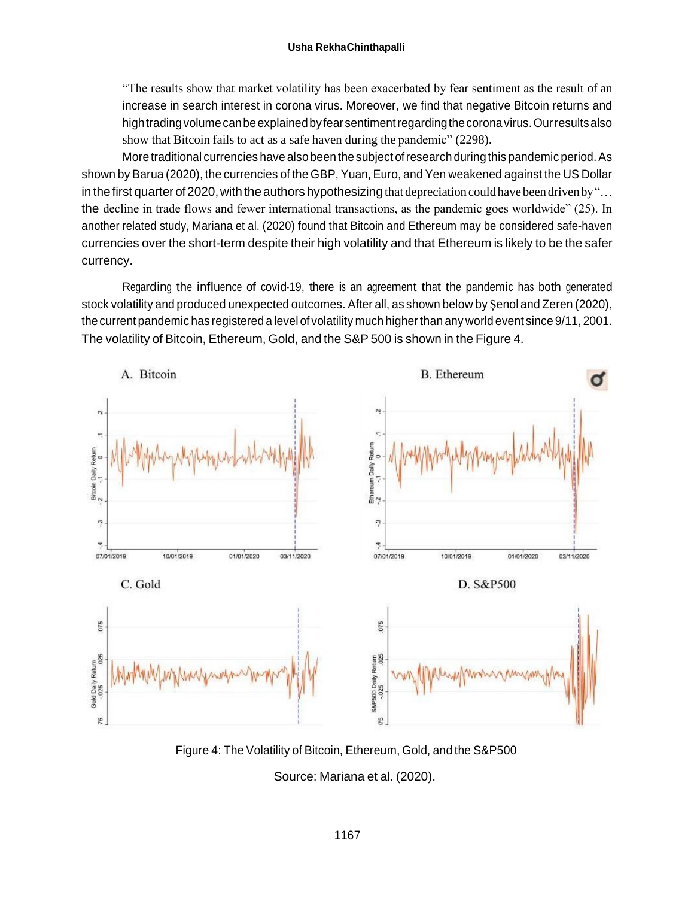"The results show that market volatility has been exacerbated by fear sentiment as the result of an increase in search interest in corona virus. Moreover, we find that negative Bitcoin returns and hightradingvolumecanbeexplainedbyfear sentimentregardingthecoronavirus.Ourresultsalso show that Bitcoin fails to act as a safe haven during the pandemic" (2298).

More traditional currencies have also been the subject of research during this pandemic period. As shown by Barua (2020), the currencies of the GBP, Yuan, Euro, and Yen weakened against the US Dollar in the first quarter of 2020, with the authors hypothesizing that depreciation could have been driven by "... the decline in trade flows and fewer international transactions, as the pandemic goes worldwide" (25). In another related study, Mariana et al. (2020) found that Bitcoin and Ethereum may be considered safe-haven currencies over the short-term despite their high volatility and that Ethereum is likely to be the safer currency.

Regarding the influence of covid-19, there is an agreement that the pandemic has both generated stock volatility and produced unexpected outcomes. After all, as shown below by Şenol and Zeren (2020), thecurrent pandemic has registered a level of volatility much higherthan any world event since 9/11, 2001. The volatility of Bitcoin, Ethereum, Gold, and the S&P 500 is shown in the Figure 4.



Figure 4: The Volatility of Bitcoin, Ethereum, Gold, and the S&P500

Source: Mariana et al. (2020).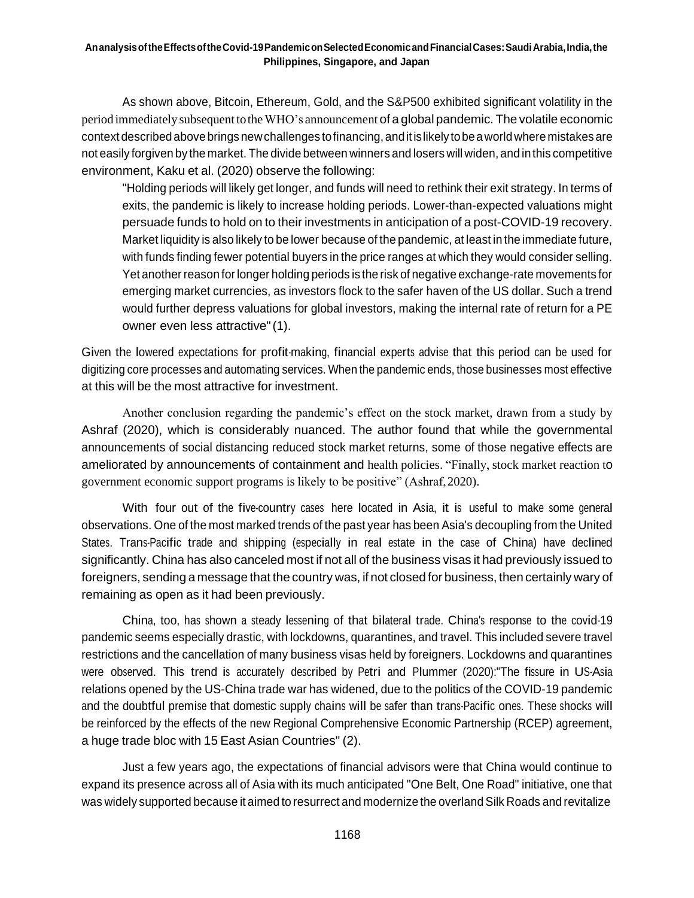As shown above, Bitcoin, Ethereum, Gold, and the S&P500 exhibited significant volatility in the period immediately subsequent totheWHO's announcement of a global pandemic. The volatile economic contextdescribed above brings newchallenges tofinancing, anditislikelytobeaworldwhere mistakes are not easily forgiven by the market. The divide between winners and losers will widen, and inthis competitive environment, Kaku et al. (2020) observe the following:

"Holding periods will likely get longer, and funds will need to rethink their exit strategy. In terms of exits, the pandemic is likely to increase holding periods. Lower-than-expected valuations might persuade funds to hold on to their investments in anticipation of a post-COVID-19 recovery. Market liquidity is also likely to be lower because of the pandemic, at least in the immediate future, with funds finding fewer potential buyers in the price ranges at which they would consider selling. Yet another reason for longer holding periods is the risk of negative exchange-rate movements for emerging market currencies, as investors flock to the safer haven of the US dollar. Such a trend would further depress valuations for global investors, making the internal rate of return for a PE owner even less attractive"(1).

Given the lowered expectations for profit-making, financial experts advise that this period can be used for digitizing core processes and automating services. When the pandemic ends, those businesses most effective at this will be the most attractive for investment.

Another conclusion regarding the pandemic's effect on the stock market, drawn from a study by Ashraf (2020), which is considerably nuanced. The author found that while the governmental announcements of social distancing reduced stock market returns, some of those negative effects are ameliorated by announcements of containment and health policies. "Finally, stock market reaction to government economic support programs is likely to be positive" (Ashraf,2020).

With four out of the five-country cases here located in Asia, it is useful to make some general observations. One of the most marked trends of the past year has been Asia's decoupling from the United States. Trans-Pacific trade and shipping (especially in real estate in the case of China) have declined significantly. China has also canceled most if not all of the business visas it had previously issued to foreigners, sending a message that the country was, if not closed for business, then certainly wary of remaining as open as it had been previously.

China, too, has shown <sup>a</sup> steady lessening of that bilateral trade. China's response to the covid-19 pandemic seems especially drastic, with lockdowns, quarantines, and travel. This included severe travel restrictions and the cancellation of many business visas held by foreigners. Lockdowns and quarantines were observed. This trend is accurately described by Petri and Plummer (2020):"The fissure in US-Asia relations opened by the US-China trade war has widened, due to the politics of the COVID-19 pandemic and the doubtful premise that domestic supply chains will be safer than trans-Pacific ones. These shocks will be reinforced by the effects of the new Regional Comprehensive Economic Partnership (RCEP) agreement, a huge trade bloc with 15 East Asian Countries" (2).

Just a few years ago, the expectations of financial advisors were that China would continue to expand its presence across all of Asia with its much anticipated "One Belt, One Road" initiative, one that was widely supported because it aimed to resurrect and modernize the overland Silk Roads and revitalize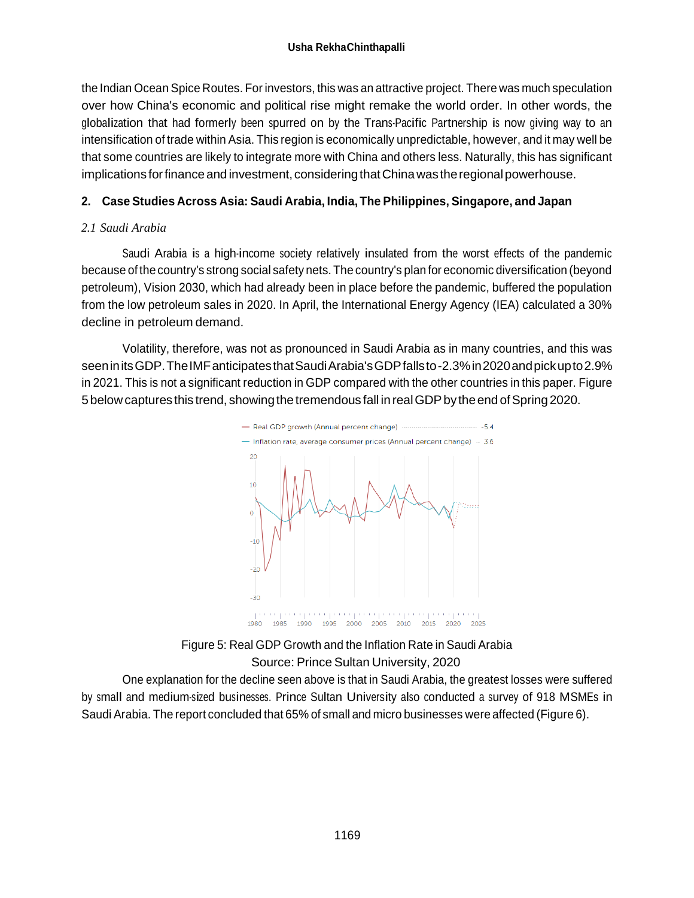the Indian Ocean Spice Routes. For investors, this was an attractive project. There was much speculation over how China's economic and political rise might remake the world order. In other words, the globalization that had formerly been spurred on by the Trans-Pacific Partnership is now giving way to an intensification of trade within Asia. This region is economically unpredictable, however, and it may well be that some countries are likely to integrate more with China and others less. Naturally, this has significant implications for finance and investment, considering that China was the regional powerhouse.

# **2. Case Studies Across Asia: Saudi Arabia, India, The Philippines, Singapore, and Japan**

# *2.1 Saudi Arabia*

Saudi Arabia is <sup>a</sup> high-income society relatively insulated from the worst effects of the pandemic because of the country's strong social safety nets. The country's plan for economic diversification (beyond petroleum), Vision 2030, which had already been in place before the pandemic, buffered the population from the low petroleum sales in 2020. In April, the International Energy Agency (IEA) calculated a 30% decline in petroleum demand.

Volatility, therefore, was not as pronounced in Saudi Arabia as in many countries, and this was seeninitsGDP.TheIMFanticipatesthatSaudiArabia'sGDPfallsto-2.3%in2020andpickupto2.9% in 2021. This is not a significant reduction in GDP compared with the other countries in this paper. Figure 5 below captures this trend, showing the tremendous fall in real GDP by the end of Spring 2020.



Figure 5: Real GDP Growth and the Inflation Rate in Saudi Arabia Source: Prince Sultan University, 2020

One explanation for the decline seen above is that in Saudi Arabia, the greatest losses were suffered by small and medium-sized businesses. Prince Sultan University also conducted <sup>a</sup> survey of 918 MSMEs in Saudi Arabia. The report concluded that 65% of small and micro businesses were affected (Figure 6).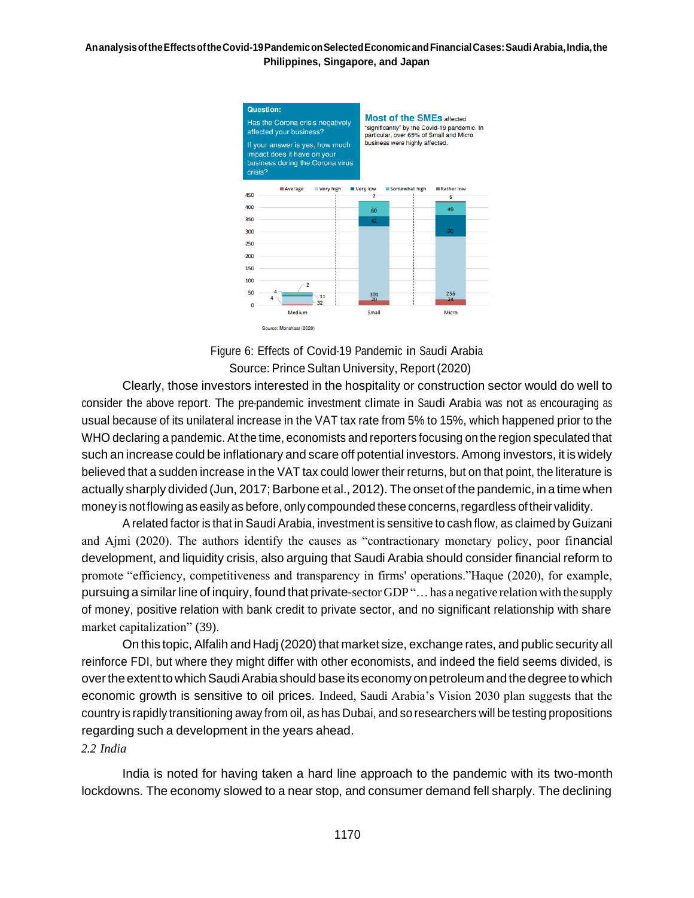

Figure 6: Effects of Covid-19 Pandemic in Saudi Arabia Source: Prince Sultan University, Report(2020)

Clearly, those investors interested in the hospitality or construction sector would do well to consider the above report. The pre-pandemic investment climate in Saudi Arabia was not as encouraging as usual because of its unilateral increase in the VAT tax rate from 5% to 15%, which happened prior to the WHO declaring a pandemic. At the time, economists and reporters focusing on the region speculated that such an increase could be inflationary and scare off potential investors. Among investors, it is widely believed that a sudden increase in the VAT tax could lower their returns, but on that point, the literature is actually sharply divided (Jun, 2017; Barbone et al., 2012). The onset of the pandemic, in a time when money is notflowing as easily as before, only compounded these concerns,regardless of their validity.

A related factor is that in Saudi Arabia, investment is sensitive to cash flow, as claimed by Guizani and Ajmi (2020). The authors identify the causes as "contractionary monetary policy, poor financial development, and liquidity crisis, also arguing that Saudi Arabia should consider financial reform to promote "efficiency, competitiveness and transparency in firms' operations."Haque (2020), for example, pursuing a similar line of inquiry, found that private-sector GDP "... has a negative relation with the supply of money, positive relation with bank credit to private sector, and no significant relationship with share market capitalization" (39).

On this topic, Alfalih and Hadj (2020) that market size, exchange rates, and public security all reinforce FDI, but where they might differ with other economists, and indeed the field seems divided, is overtheextenttowhichSaudiArabia should base its economy onpetroleumand the degree towhich economic growth is sensitive to oil prices. Indeed, Saudi Arabia's Vision 2030 plan suggests that the country is rapidly transitioning away from oil, as has Dubai, and so researchers will be testing propositions regarding such a development in the years ahead.

### *2.2 India*

India is noted for having taken a hard line approach to the pandemic with its two-month lockdowns. The economy slowed to a near stop, and consumer demand fell sharply. The declining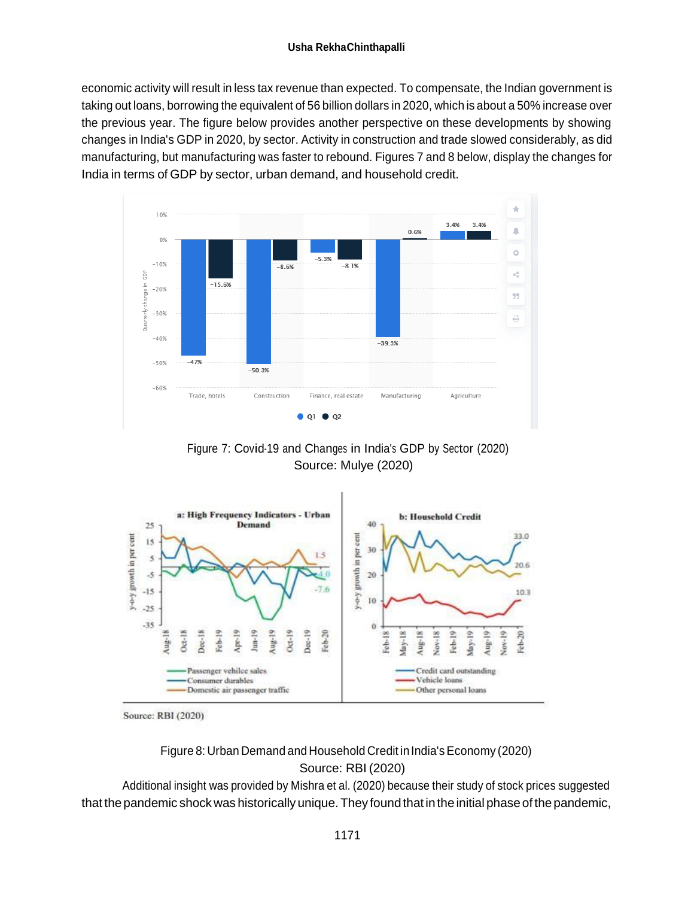economic activity will result in less tax revenue than expected. To compensate, the Indian government is taking out loans, borrowing the equivalent of 56 billion dollars in 2020, which is about a 50% increase over the previous year. The figure below provides another perspective on these developments by showing changes in India's GDP in 2020, by sector. Activity in construction and trade slowed considerably, as did manufacturing, but manufacturing was faster to rebound. Figures 7 and 8 below, display the changes for India in terms of GDP by sector, urban demand, and household credit.







Source: RBI (2020)

Figure 8: Urban Demand and Household Credit in India's Economy (2020) Source: RBI (2020)

Additional insight was provided by Mishra et al. (2020) because their study of stock prices suggested that the pandemic shock was historically unique. They found that in the initial phase of the pandemic,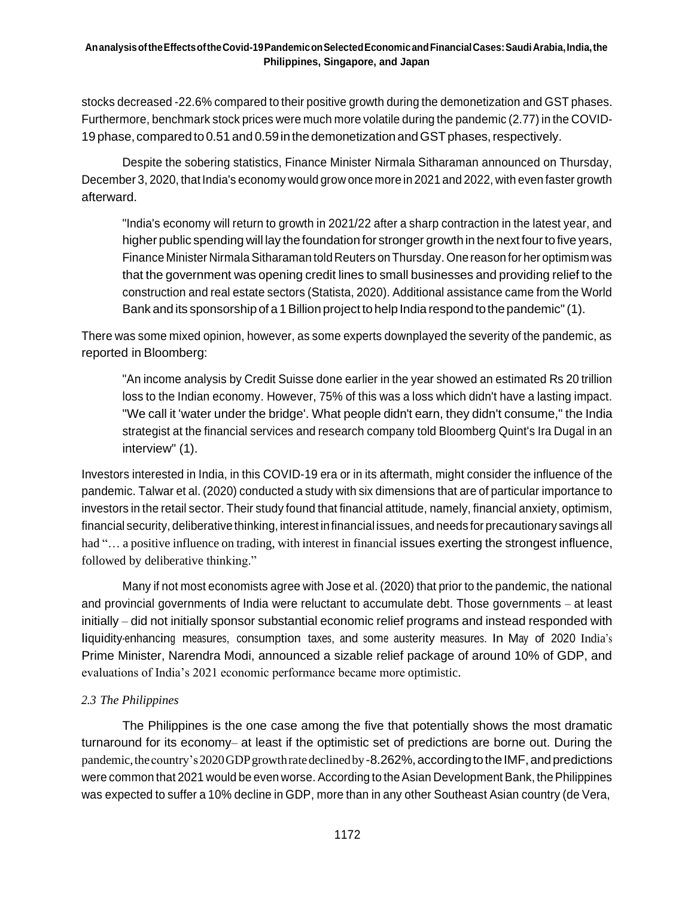stocks decreased -22.6% compared to their positive growth during the demonetization and GST phases. Furthermore, benchmark stock prices were much more volatile during the pandemic (2.77) in the COVID-19 phase, compared to 0.51 and 0.59 in the demonetization and GST phases, respectively.

Despite the sobering statistics, Finance Minister Nirmala Sitharaman announced on Thursday, December 3, 2020, that India's economy would grow once more in 2021 and 2022, with even faster growth afterward.

"India's economy will return to growth in 2021/22 after a sharp contraction in the latest year, and higher public spending will lay thefoundation for stronger growth in the next fourto five years, Finance Minister Nirmala Sitharaman told Reuters on Thursday. One reason for her optimism was that the government was opening credit lines to small businesses and providing relief to the construction and real estate sectors (Statista, 2020). Additional assistance came from the World Bank and its sponsorship of a 1Billion project tohelp India respond tothepandemic"(1).

There was some mixed opinion, however, as some experts downplayed the severity of the pandemic, as reported in Bloomberg:

"An income analysis by Credit Suisse done earlier in the year showed an estimated Rs 20 trillion loss to the Indian economy. However, 75% of this was a loss which didn't have a lasting impact. "We call it 'water under the bridge'. What people didn't earn, they didn't consume," the India strategist at the financial services and research company told Bloomberg Quint's Ira Dugal in an interview" (1).

Investors interested in India, in this COVID-19 era or in its aftermath, might consider the influence of the pandemic. Talwar et al. (2020) conducted a study with six dimensions that are of particular importance to investors in the retail sector. Their study found that financial attitude, namely, financial anxiety, optimism, financial security, deliberative thinking, interest infinancial issues, and needs for precautionary savings all had "... a positive influence on trading, with interest in financial issues exerting the strongest influence, followed by deliberative thinking."

Many if not most economists agree with Jose et al. (2020) that prior to the pandemic, the national and provincial governments of India were reluctant to accumulate debt. Those governments – at least initially – did not initially sponsor substantial economic relief programs and instead responded with liquidity-enhancing measures, consumption taxes, and some austerity measures. In May of 2020 India's Prime Minister, Narendra Modi, announced a sizable relief package of around 10% of GDP, and evaluations of India's 2021 economic performance became more optimistic.

### *2.3 The Philippines*

The Philippines is the one case among the five that potentially shows the most dramatic turnaround for its economy– at least if the optimistic set of predictions are borne out. During the pandemic, the country's 2020 GDP growth rate declined by -8.262%, according to the IMF, and predictions were common that 2021 would be even worse. According to the Asian Development Bank, the Philippines was expected to suffer a 10% decline in GDP, more than in any other Southeast Asian country (de Vera,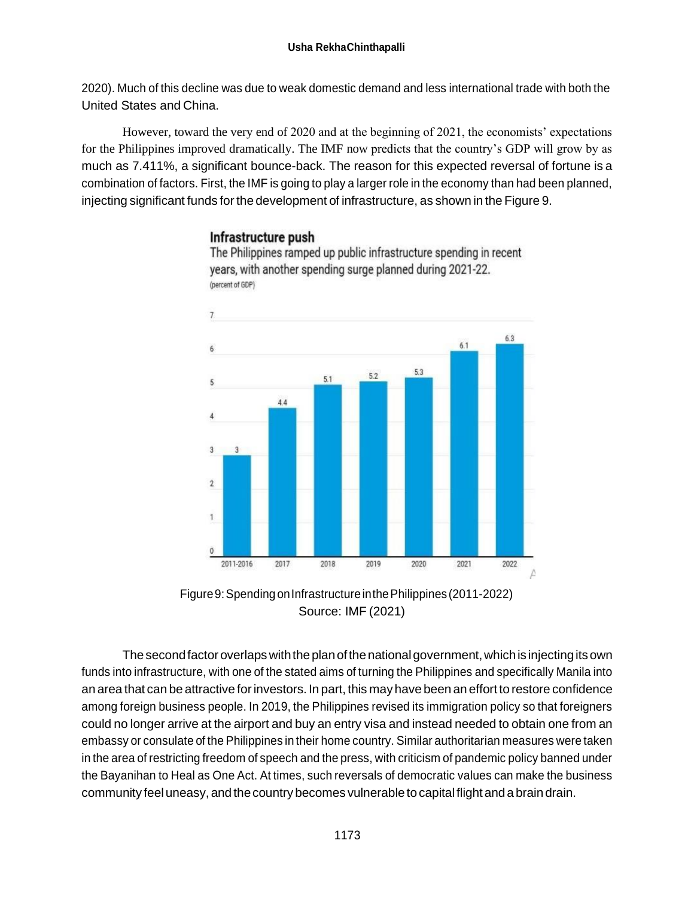2020). Much of this decline was due to weak domestic demand and less international trade with both the United States and China.

However, toward the very end of 2020 and at the beginning of 2021, the economists' expectations for the Philippines improved dramatically. The IMF now predicts that the country's GDP will grow by as much as 7.411%, a significant bounce-back. The reason for this expected reversal of fortune is a combination of factors. First, the IMF is going to play a larger role in the economy than had been planned, injecting significant funds forthe development of infrastructure, as shown in the Figure 9.

# Infrastructure push



The Philippines ramped up public infrastructure spending in recent vears, with another spending surge planned during 2021-22. (percent of GDP)

Figure 9: Spending on Infrastructure in the Philippines (2011-2022) Source: IMF (2021)

The second factor overlaps with the plan of the national government, which is injecting its own funds into infrastructure, with one of the stated aims of turning the Philippines and specifically Manila into an area that can be attractive forinvestors. In part, this may have been an effort to restore confidence among foreign business people. In 2019, the Philippines revised its immigration policy so that foreigners could no longer arrive at the airport and buy an entry visa and instead needed to obtain one from an embassy or consulate of the Philippines in their home country. Similar authoritarian measures were taken in the area of restricting freedom of speech and the press, with criticism of pandemic policy banned under the Bayanihan to Heal as One Act. At times, such reversals of democratic values can make the business community feel uneasy, and the country becomes vulnerable to capital flight and a brain drain.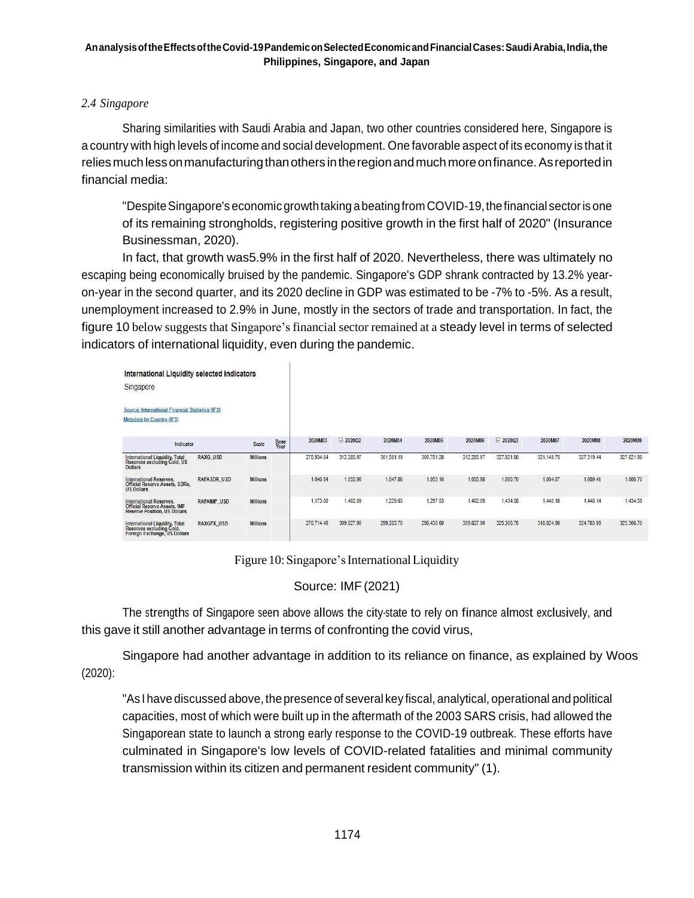## *2.4 Singapore*

Sharing similarities with Saudi Arabia and Japan, two other countries considered here, Singapore is a country with high levels of income and social development. One favorable aspect of its economy is that it relies much less on manufacturing than others in the region and much more on finance. As reported in financial media:

"Despite Singapore's economic growth taking a beating from COVID-19, the financial sector is one of its remaining strongholds, registering positive growth in the first half of 2020" (Insurance Businessman, 2020).

In fact, that growth was5.9% in the first half of 2020. Nevertheless, there was ultimately no escaping being economically bruised by the pandemic. Singapore's GDP shrank contracted by 13.2% yearon-year in the second quarter, and its 2020 decline in GDP was estimated to be -7% to -5%. As a result, unemployment increased to 2.9% in June, mostly in the sectors of trade and transportation. In fact, the figure 10 below suggeststhat Singapore's financial sector remained at a steady level in terms of selected indicators of international liquidity, even during the pandemic.

| International Liquidity selected indicators<br>Singapore<br>Source: International Financial Statistics (IFS)<br>Metadata by Country (IFS) |                   |                 |              |            |            |            |            |            |            |            |            |            |
|-------------------------------------------------------------------------------------------------------------------------------------------|-------------------|-----------------|--------------|------------|------------|------------|------------|------------|------------|------------|------------|------------|
| Indicator                                                                                                                                 |                   | Scale           | Base<br>Year | 2020M03    | □ 2020Q2   | 2020M04    | 2020M05    | 2020M06    | □ 2020Q3   | 2020M07    | 2020M08    | 2020M09    |
| International Liquidity, Total<br>Reserves excluding Gold, US<br><b>Dollars</b>                                                           | <b>RAXG USD</b>   | <b>Millions</b> |              | 278,934.64 | 312,285.97 | 301,561.19 | 300,781.28 | 312,285.97 | 327,821.98 | 321,149.75 | 327,319.44 | 327,821.98 |
| International Reserves,<br>Official Reserve Assets, SDRs,<br><b>US Dollars</b>                                                            | RAFASDR USD       | <b>Millions</b> |              | 1.046.64   | 1.055.98   | 1,047.86   | 1,053.16   | 1.055.98   | 1,080.70   | 1,084.67   | 1.089.41   | 1,080.70   |
| International Reserves,<br><b>Official Reserve Assets, IMF</b><br><b>Reserve Position, US Dollars</b>                                     | RAFAIMF USD       | <b>Millions</b> |              | 1,173.60   | 1,402.09   | 1.229.63   | 1.297.53   | 1.402.09   | 1,434.58   | 1.440.18   | 1,446.14   | 1,434.58   |
| International Liquidity, Total<br>Reserves excluding Gold,<br>Foreign Exchange, US Dollars                                                | <b>RAXGFX USD</b> | <b>Millions</b> |              | 276.714.40 | 309.827.90 | 299.283.70 | 298.430.60 | 309.827.90 | 325.306.70 | 318.624.90 | 324.783.90 | 325.306.70 |

Figure 10: Singapore's International Liquidity

# Source: IMF(2021)

The strengths of Singapore seen above allows the city-state to rely on finance almost exclusively, and this gave it still another advantage in terms of confronting the covid virus,

Singapore had another advantage in addition to its reliance on finance, as explained by Woos (2020):

"As I have discussed above, the presence of several key fiscal, analytical, operational and political capacities, most of which were built up in the aftermath of the 2003 SARS crisis, had allowed the Singaporean state to launch a strong early response to the COVID-19 outbreak. These efforts have culminated in Singapore's low levels of COVID-related fatalities and minimal community transmission within its citizen and permanent resident community" (1).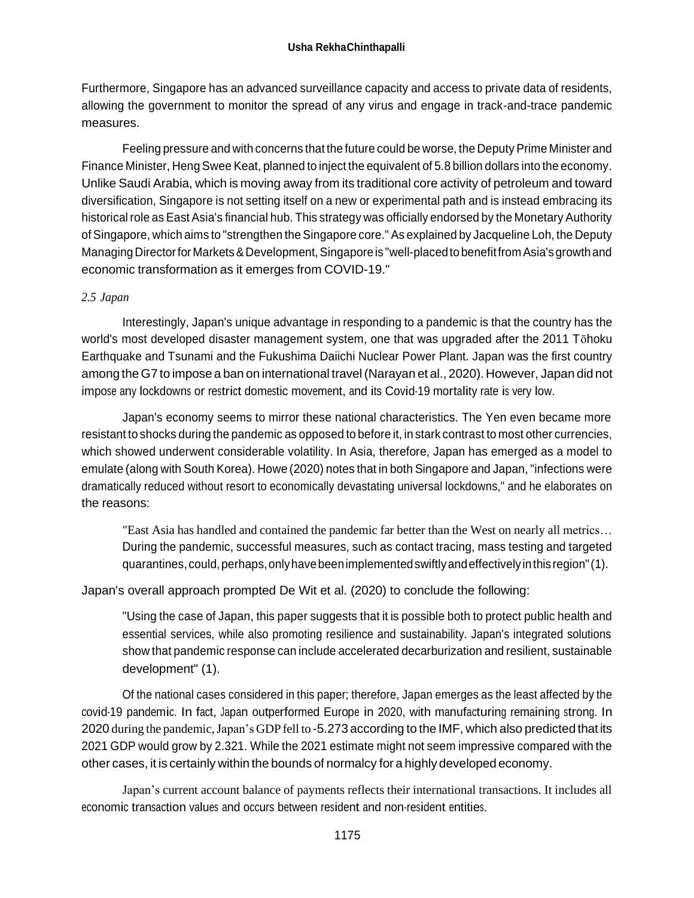Furthermore, Singapore has an advanced surveillance capacity and access to private data of residents, allowing the government to monitor the spread of any virus and engage in track-and-trace pandemic measures.

Feeling pressure and with concerns that the future could be worse, the Deputy Prime Minister and Finance Minister, Heng Swee Keat, planned to inject the equivalent of 5.8 billion dollars into the economy. Unlike Saudi Arabia, which is moving away from its traditional core activity of petroleum and toward diversification, Singapore is not setting itself on a new or experimental path and is instead embracing its historical role as East Asia's financial hub. This strategy was officially endorsed by the Monetary Authority of Singapore, which aims to "strengthen the Singapore core." As explained by Jacqueline Loh, the Deputy Managing Director for Markets & Development, Singapore is "well-placed to benefit from Asia's growth and economic transformation as it emerges from COVID-19."

### *2.5 Japan*

Interestingly, Japan's unique advantage in responding to a pandemic is that the country has the world's most developed disaster management system, one that was upgraded after the 2011 Tōhoku Earthquake and Tsunami and the Fukushima Daiichi Nuclear Power Plant. Japan was the first country among theG7 to impose a ban on international travel (Narayan et al., 2020). However, Japan did not impose any lockdowns or restrict domestic movement, and its Covid-19 mortality rate is very low.

Japan's economy seems to mirror these national characteristics. The Yen even became more resistant to shocks during the pandemic as opposed to before it, in stark contrast to most other currencies, which showed underwent considerable volatility. In Asia, therefore, Japan has emerged as a model to emulate (along with South Korea). Howe (2020) notes that in both Singapore and Japan, "infections were dramatically reduced without resort to economically devastating universal lockdowns," and he elaborates on the reasons:

"East Asia has handled and contained the pandemic far better than the West on nearly all metrics… During the pandemic, successful measures, such as contact tracing, mass testing and targeted quarantines, could, perhaps, only have been implemented swiftly and effectively in this region" (1).

Japan's overall approach prompted De Wit et al. (2020) to conclude the following:

"Using the case of Japan, this paper suggests that it is possible both to protect public health and essential services, while also promoting resilience and sustainability. Japan's integrated solutions show that pandemic response can include accelerated decarburization and resilient, sustainable development" (1).

Of the national cases considered in this paper; therefore, Japan emerges as the least affected by the covid-19 pandemic. In fact, Japan outperformed Europe in 2020, with manufacturing remaining strong. In 2020 during the pandemic,Japan's GDP fell to -5.273 according to the IMF, which also predicted that its 2021 GDP would grow by 2.321. While the 2021 estimate might not seem impressive compared with the other cases, it is certainly within the bounds of normalcy for a highly developed economy.

Japan's current account balance of payments reflects their international transactions. It includes all economic transaction values and occurs between resident and non-resident entities.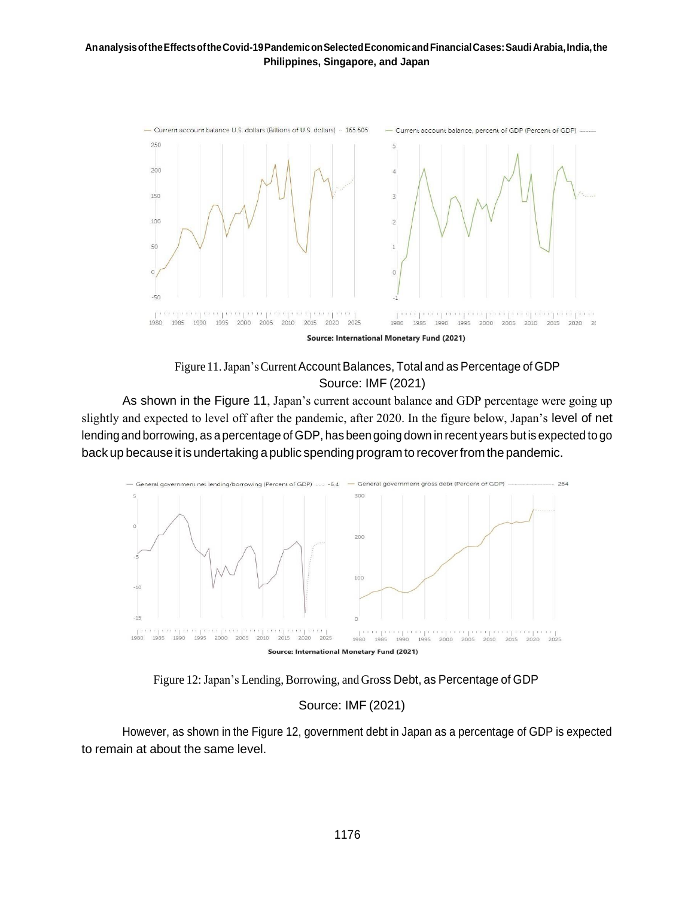



As shown in the Figure 11, Japan's current account balance and GDP percentage were going up slightly and expected to level off after the pandemic, after 2020. In the figure below, Japan's level of net lending and borrowing, as a percentage of GDP, has been going down in recent years but is expected to go back up because it is undertaking a public spending program to recover from the pandemic.



Figure 12: Japan's Lending, Borrowing, and Gross Debt, as Percentage of GDP

### Source: IMF (2021)

However, as shown in the Figure 12, government debt in Japan as a percentage of GDP is expected to remain at about the same level.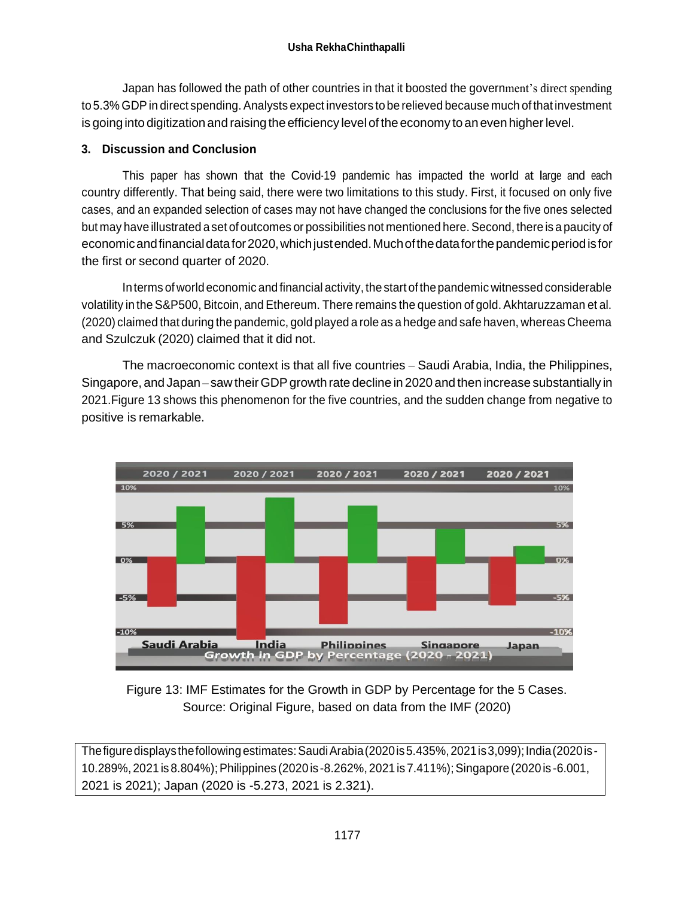Japan has followed the path of other countries in that it boosted the government's direct spending to 5.3% GDP in direct spending. Analysts expect investors to be relieved because much of that investment is going into digitization and raising the efficiency level of the economy to an even higher level.

# **3. Discussion and Conclusion**

This paper has shown that the Covid-19 pandemic has impacted the world at large and each country differently. That being said, there were two limitations to this study. First, it focused on only five cases, and an expanded selection of cases may not have changed the conclusions for the five ones selected but may have illustrated a set of outcomes or possibilities not mentioned here. Second, there is a paucity of economicandfinancialdatafor2020,whichjustended.Muchofthedataforthepandemicperiodisfor the first or second quarter of 2020.

Interms ofworld economic and financial activity, the start of thepandemic witnessed considerable volatility in the S&P500, Bitcoin, and Ethereum. There remains the question of gold. Akhtaruzzaman et al. (2020) claimed that during the pandemic, gold played a role as a hedge and safe haven, whereas Cheema and Szulczuk (2020) claimed that it did not.

The macroeconomic context is that all five countries – Saudi Arabia, India, the Philippines, Singapore, and Japan – saw their GDP growth rate decline in 2020 and then increase substantially in 2021.Figure 13 shows this phenomenon for the five countries, and the sudden change from negative to positive is remarkable.



Figure 13: IMF Estimates for the Growth in GDP by Percentage for the 5 Cases. Source: Original Figure, based on data from the IMF (2020)

Thefiguredisplaysthefollowingestimates:SaudiArabia(2020is5.435%,2021is3,099);India(2020is-10.289%, 2021 is 8.804%);Philippines (2020 is -8.262%, 2021is 7.411%);Singapore (2020 is -6.001, 2021 is 2021); Japan (2020 is -5.273, 2021 is 2.321).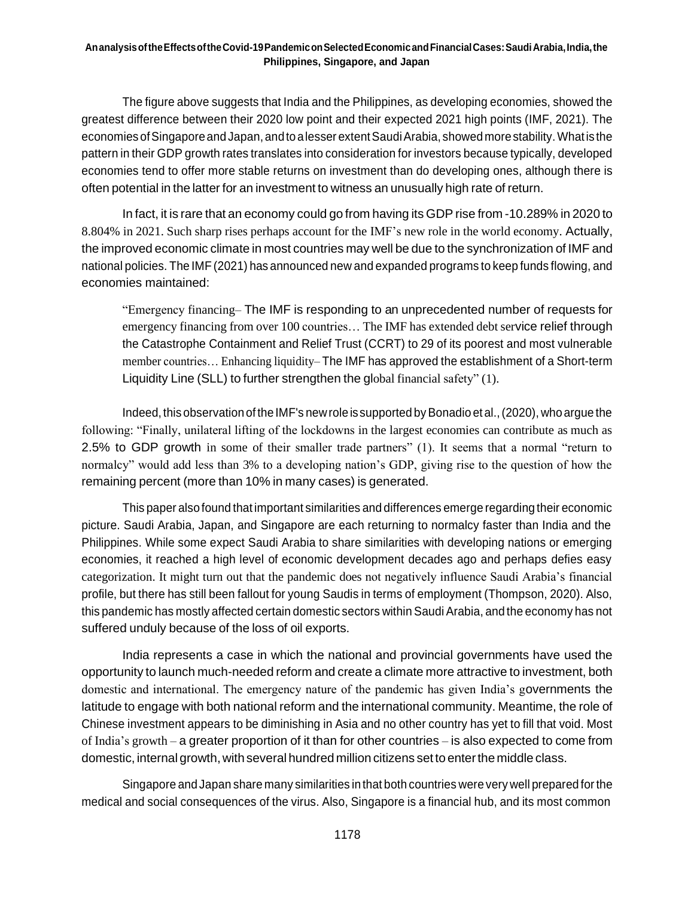The figure above suggests that India and the Philippines, as developing economies, showed the greatest difference between their 2020 low point and their expected 2021 high points (IMF, 2021). The economies of Singapore and Japan, and to a lesser extent Saudi Arabia, showed more stability. What is the pattern in their GDP growth rates translates into consideration for investors because typically, developed economies tend to offer more stable returns on investment than do developing ones, although there is often potential in the latter for an investment to witness an unusually high rate of return.

In fact, it is rare that an economy could go from having its GDP rise from -10.289% in 2020 to 8.804% in 2021. Such sharp rises perhaps account for the IMF's new role in the world economy. Actually, the improved economic climate in most countries may well be due to the synchronization of IMF and national policies. The IMF (2021) has announced new and expanded programs to keep funds flowing, and economies maintained:

"Emergency financing– The IMF is responding to an unprecedented number of requests for emergency financing from over 100 countries… The IMF has extended debt service relief through the Catastrophe Containment and Relief Trust (CCRT) to 29 of its poorest and most vulnerable member countries… Enhancing liquidity– The IMF has approved the establishment of a Short-term Liquidity Line (SLL) to further strengthen the global financial safety" (1).

Indeed, this observation of theIMF's newroleissupported byBonadio et al.,(2020), who argue the following: "Finally, unilateral lifting of the lockdowns in the largest economies can contribute as much as 2.5% to GDP growth in some of their smaller trade partners" (1). It seems that a normal "return to normalcy" would add less than 3% to a developing nation's GDP, giving rise to the question of how the remaining percent (more than 10% in many cases) is generated.

This paper alsofound that important similarities and differences emerge regarding their economic picture. Saudi Arabia, Japan, and Singapore are each returning to normalcy faster than India and the Philippines. While some expect Saudi Arabia to share similarities with developing nations or emerging economies, it reached a high level of economic development decades ago and perhaps defies easy categorization. It might turn out that the pandemic does not negatively influence Saudi Arabia's financial profile, but there has still been fallout for young Saudis in terms of employment (Thompson, 2020). Also, this pandemic has mostly affected certain domestic sectors within Saudi Arabia, and the economy has not suffered unduly because of the loss of oil exports.

India represents a case in which the national and provincial governments have used the opportunity to launch much-needed reform and create a climate more attractive to investment, both domestic and international. The emergency nature of the pandemic has given India's governments the latitude to engage with both national reform and the international community. Meantime, the role of Chinese investment appears to be diminishing in Asia and no other country has yet to fill that void. Most of India's growth – a greater proportion of it than for other countries – is also expected to come from domestic, internal growth, with several hundred million citizens set to enterthemiddle class.

Singapore and Japan share many similarities inthat both countries were very well prepared forthe medical and social consequences of the virus. Also, Singapore is a financial hub, and its most common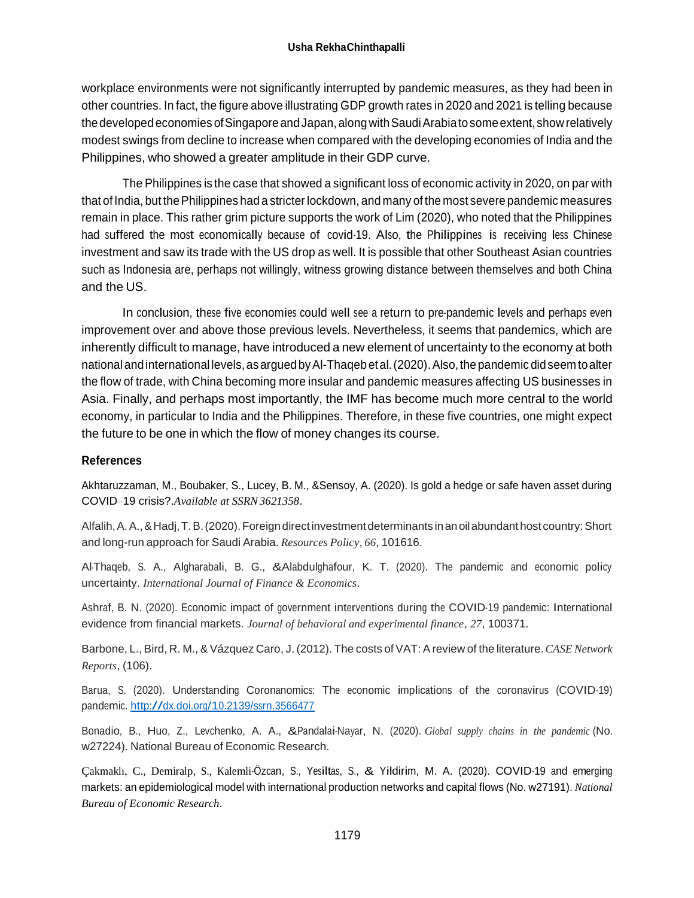workplace environments were not significantly interrupted by pandemic measures, as they had been in other countries. In fact, the figure above illustrating GDP growth rates in 2020 and 2021 is telling because the developed economies of Singapore and Japan, along with Saudi Arabiato some extent, show relatively modest swings from decline to increase when compared with the developing economies of India and the Philippines, who showed a greater amplitude in their GDP curve.

The Philippines is the case that showed a significant loss of economic activity in 2020, on par with that of India, but thePhilippines had a stricter lockdown, and many of the most severe pandemic measures remain in place. This rather grim picture supports the work of Lim (2020), who noted that the Philippines had suffered the most economically because of covid-19. Also, the Philippines is receiving less Chinese investment and saw its trade with the US drop as well. It is possible that other Southeast Asian countries such as Indonesia are, perhaps not willingly, witness growing distance between themselves and both China and the US.

In conclusion, these five economies could well see <sup>a</sup> return to pre-pandemic levels and perhaps even improvement over and above those previous levels. Nevertheless, it seems that pandemics, which are inherently difficult to manage, have introduced a new element of uncertainty to the economy at both national and international levels, as argued by Al-Thaqeb et al. (2020). Also, the pandemic did seem to alter the flow of trade, with China becoming more insular and pandemic measures affecting US businesses in Asia. Finally, and perhaps most importantly, the IMF has become much more central to the world economy, in particular to India and the Philippines. Therefore, in these five countries, one might expect the future to be one in which the flow of money changes its course.

### **References**

Akhtaruzzaman, M., Boubaker, S., Lucey, B. M., &Sensoy, A. (2020). Is gold a hedge or safe haven asset during COVID–19 crisis?.*Available at SSRN3621358*.

Alfalih, A.A., & Hadj, T.B. (2020). Foreign direct investment determinants in an oil abundant host country: Short and long-run approach for Saudi Arabia. *Resources Policy*, *66*, 101616.

Al-Thaqeb, S. A., Algharabali, B. G., &Alabdulghafour, K. T. (2020). The pandemic and economic policy uncertainty. *International Journal of Finance & Economics*.

Ashraf, B. N. (2020). Economic impact of government interventions during the COVID-19 pandemic: International evidence from financial markets. *Journal of behavioral and experimental finance*, *27*, 100371.

Barbone, L., Bird, R. M., & Vázquez Caro, J. (2012). The costs of VAT: Areview of the literature.*CASE Network Reports*, (106).

Barua, S. (2020). Understanding Coronanomics: The economic implications of the coronavirus (COVID-19) pandemic. <http://dx.doi.org/10.2139/ssrn.3566477>

Bonadio, B., Huo, Z., Levchenko, A. A., &Pandalai-Nayar, N. (2020). *Global supply chains in the pandemic* (No. w27224). National Bureau of Economic Research.

Çakmaklı, C., Demiralp, S., Kalemli-Özcan, S., Yesiltas, S., & Yildirim, M. A. (2020). COVID-19 and emerging markets: an epidemiological model with international production networks and capital flows (No. w27191). *National Bureau of Economic Research*.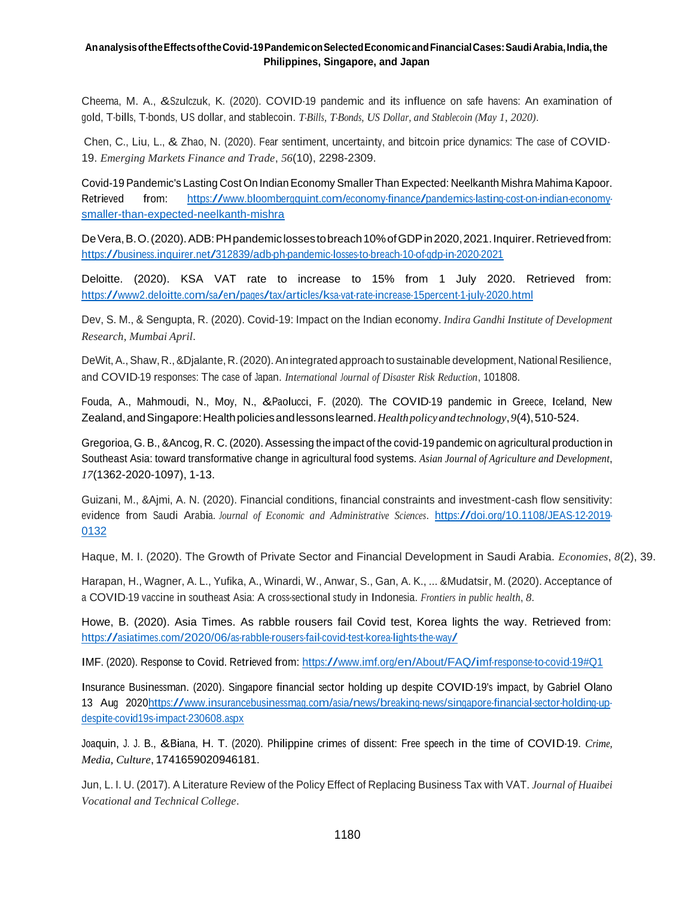Cheema, M. A., &Szulczuk, K. (2020). COVID-19 pandemic and its influence on safe havens: An examination of gold, T-bills, T-bonds, US dollar, and stablecoin. *T-Bills, T-Bonds, US Dollar, and Stablecoin (May 1, 2020)*.

Chen, C., Liu, L., & Zhao, N. (2020). Fear sentiment, uncertainty, and bitcoin price dynamics: The case of COVID-19. *Emerging Markets Finance and Trade*, *56*(10), 2298-2309.

Covid-19 Pandemic's Lasting Cost On IndianEconomy Smaller Than Expected: Neelkanth Mishra Mahima Kapoor. Retrieved from: [https://www.bloombergquint.com/economy-finance/pandemics-lasting-cost-on-indian-economy](https://www.bloombergquint.com/economy-finance/pandemics-lasting-cost-on-indian-economy-smaller-than-expected-neelkanth-mishra)[smaller-than-expected-neelkanth-mishra](https://www.bloombergquint.com/economy-finance/pandemics-lasting-cost-on-indian-economy-smaller-than-expected-neelkanth-mishra)

De Vera, B.O. (2020). ADB: PH pandemic losses to breach 10% of GDP in 2020, 2021. Inquirer. Retrieved from: <https://business.inquirer.net/312839/adb-ph-pandemic-losses-to-breach-10-of-gdp-in-2020-2021>

Deloitte. (2020). KSA VAT rate to increase to 15% from 1 July 2020. Retrieved from: <https://www2.deloitte.com/sa/en/pages/tax/articles/ksa-vat-rate-increase-15percent-1-july-2020.html>

Dev, S. M., & Sengupta, R. (2020). Covid-19: Impact on the Indian economy. *Indira Gandhi Institute of Development Research, Mumbai April*.

DeWit, A., Shaw, R., &Djalante, R. (2020). An integrated approach to sustainable development, National Resilience, and COVID-19 responses: The case of Japan. *International Journal of Disaster Risk Reduction*, 101808.

Fouda, A., Mahmoudi, N., Moy, N., &Paolucci, F. (2020). The COVID-19 pandemic in Greece, Iceland, New Zealand,andSingapore:Healthpoliciesandlessonslearned.*Healthpolicyandtechnology*,*9*(4),510-524.

Gregorioa, G. B., &Ancog, R. C. (2020). Assessing the impact of the covid-19 pandemic on agricultural production in Southeast Asia: toward transformative change in agricultural food systems. *Asian Journal of Agriculture and Development*, *17*(1362-2020-1097), 1-13.

Guizani, M., &Ajmi, A. N. (2020). Financial conditions, financial constraints and investment-cash flow sensitivity: evidence from Saudi Arabia. *Journal of Economic and Administrative Sciences*. [https://doi.org/10.1108/JEAS-12-2019-](https://doi.org/10.1108/JEAS-12-2019-0132) [0132](https://doi.org/10.1108/JEAS-12-2019-0132)

Haque, M. I. (2020). The Growth of Private Sector and Financial Development in Saudi Arabia. *Economies*, *8*(2), 39.

Harapan, H., Wagner, A. L., Yufika, A., Winardi, W., Anwar, S., Gan, A. K., ... &Mudatsir, M. (2020). Acceptance of <sup>a</sup> COVID-19 vaccine in southeast Asia: A cross-sectional study in Indonesia. *Frontiers in public health*, *8*.

Howe, B. (2020). Asia Times. As rabble rousers fail Covid test, Korea lights the way. Retrieved from: <https://asiatimes.com/2020/06/as-rabble-rousers-fail-covid-test-korea-lights-the-way/>

IMF. (2020). Response to Covid. Retrieved from: <https://www.imf.org/en/About/FAQ/imf-response-to-covid-19#Q1>

Insurance Businessman. (2020). Singapore financial sector holding up despite COVID-19's impact, by Gabriel Olano <sup>13</sup> Aug 202[0https://www.insurancebusinessmag.com/asia/news/breaking-news/singapore-financial-sector-holding-up](https://www.insurancebusinessmag.com/asia/news/breaking-news/singapore-financial-sector-holding-up-despite-covid19s-impact-230608.aspx)[despite-covid19s-impact-230608.aspx](https://www.insurancebusinessmag.com/asia/news/breaking-news/singapore-financial-sector-holding-up-despite-covid19s-impact-230608.aspx)

Joaquin, J. J. B., &Biana, H. T. (2020). Philippine crimes of dissent: Free speech in the time of COVID-19. *Crime, Media, Culture*, 1741659020946181.

Jun, L. I. U. (2017). A Literature Review of the Policy Effect of Replacing Business Tax with VAT. *Journal of Huaibei Vocational and Technical College*.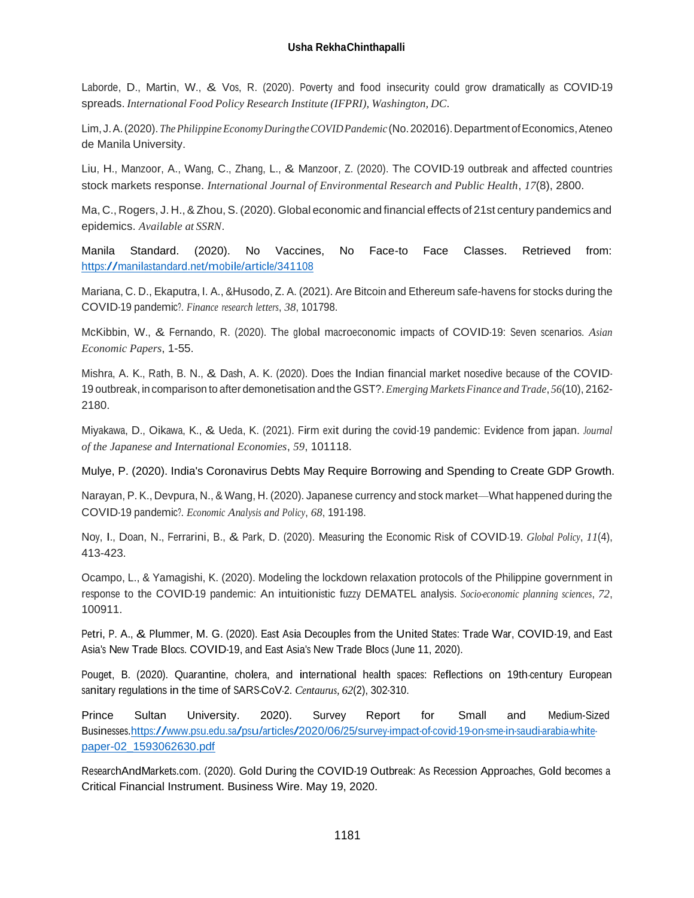#### **Usha RekhaChinthapalli**

Laborde, D., Martin, W., & Vos, R. (2020). Poverty and food insecurity could grow dramatically as COVID-19 spreads. *International Food Policy Research Institute (IFPRI), Washington, DC*.

Lim, J.A. (2020). *The Philippine Economy During the COVID Pandemic* (No. 202016). Department of Economics, Ateneo de Manila University.

Liu, H., Manzoor, A., Wang, C., Zhang, L., & Manzoor, Z. (2020). The COVID-19 outbreak and affected countries stock markets response. *International Journal of Environmental Research and Public Health*, *17*(8), 2800.

Ma, C., Rogers, J. H., &Zhou, S. (2020). Global economic and financial effects of 21st century pandemics and epidemics. *Available at SSRN*.

Manila Standard. (2020). No Vaccines, No Face-to Face Classes. Retrieved from: <https://manilastandard.net/mobile/article/341108>

Mariana, C. D., Ekaputra, I. A., &Husodo, Z. A. (2021). Are Bitcoin and Ethereum safe-havens for stocks during the COVID-19 pandemic?. *Finance research letters*, *38*, 101798.

McKibbin, W., & Fernando, R. (2020). The global macroeconomic impacts of COVID-19: Seven scenarios. *Asian Economic Papers*, 1-55.

Mishra, A. K., Rath, B. N., & Dash, A. K. (2020). Does the Indian financial market nosedive because of the COVID-19 outbreak, in comparison to after demonetisation and the GST?.*Emerging MarketsFinance and Trade*, *56*(10), 2162- 2180.

Miyakawa, D., Oikawa, K., & Ueda, K. (2021). Firm exit during the covid-19 pandemic: Evidence from japan. *Journal of the Japanese and International Economies*, *59*, 101118.

Mulye, P. (2020). India's Coronavirus Debts May Require Borrowing and Spending to Create GDP Growth.

Narayan, P. K., Devpura, N., & Wang, H. (2020). Japanese currency and stock market—What happened during the COVID-19 pandemic?. *Economic Analysis and Policy*, *68*, 191-198.

Noy, I., Doan, N., Ferrarini, B., & Park, D. (2020). Measuring the Economic Risk of COVID‐19. *Global Policy*, *11*(4), 413-423.

Ocampo, L., & Yamagishi, K. (2020). Modeling the lockdown relaxation protocols of the Philippine government in response to the COVID-19 pandemic: An intuitionistic fuzzy DEMATEL analysis. *Socio-economic planning sciences*, *72*, 100911.

Petri, P. A., & Plummer, M. G. (2020). East Asia Decouples from the United States: Trade War, COVID-19, and East Asia's New Trade Blocs. COVID-19, and East Asia's New Trade Blocs (June 11, 2020).

Pouget, B. (2020). Quarantine, cholera, and international health spaces: Reflections on 19th‐century European sanitary regulations in the time of SARS‐CoV‐2. *Centaurus, 62*(2), 302-310.

Prince Sultan University. 2020). Survey Report for Small and Medium-Sized Businesse[s.https://www.psu.edu.sa/psu/articles/2020/06/25/survey-impact-of-covid-19-on-sme-in-saudi-arabia-white](https://www.psu.edu.sa/psu/articles/2020/06/25/survey-impact-of-covid-19-on-sme-in-saudi-arabia-white-paper-02_1593062630.pdf)[paper-02\\_1593062630.pdf](https://www.psu.edu.sa/psu/articles/2020/06/25/survey-impact-of-covid-19-on-sme-in-saudi-arabia-white-paper-02_1593062630.pdf)

ResearchAndMarkets.com. (2020). Gold During the COVID-19 Outbreak: As Recession Approaches, Gold becomes <sup>a</sup> Critical Financial Instrument. Business Wire. May 19, 2020.